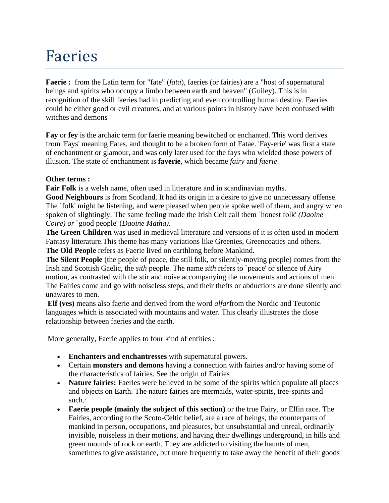# Faeries

**Faerie :** from the Latin term for "fate" (*fata*), faeries (or fairies) are a "host of supernatural beings and spirits who occupy a limbo between earth and heaven" (Guiley). This is in recognition of the skill faeries had in predicting and even controlling human destiny. Faeries could be either good or evil creatures, and at various points in history have been confused with witches and demons

**Fay** or **fey** is the archaic term for faerie meaning bewitched or enchanted. This word derives from 'Fays' meaning Fates, and thought to be a broken form of Fatae. 'Fay-erie' was first a state of enchantment or glamour, and was only later used for the fays who wielded those powers of illusion. The state of enchantment is **fayerie**, which became *fairy* and *faerie*.

#### **Other terms :**

**Fair Folk** is a welsh name, often used in litterature and in scandinavian myths.

**Good Neighbours** is from Scotland. It had its origin in a desire to give no unnecessary offense. The `folk' might be listening, and were pleased when people spoke well of them, and angry when spoken of slightingly. The same feeling made the Irish Celt call them `honest folk' *(Daoine Coire) or* `good people' (*Daoine Matha)*.

**The Green Children** was used in medieval litterature and versions of it is often used in modern Fantasy litterature.This theme has many variations like Greenies, Greencoaties and others. **The Old People** refers as Faerie lived on earthlong before Mankind.

**The Silent People** (the people of peace, the still folk, or silently-moving people) comes from the Irish and Scottish Gaelic, the *sith* people. The name *sith* refers to `peace' or silence of Airy motion, as contrasted with the stir and noise accompanying the movements and actions of men. The Fairies come and go with noiseless steps, and their thefts or abductions are done silently and unawares to men.

**Elf (ves)** means also faerie and derived from the word *alfar*from the Nordic and Teutonic languages which is associated with mountains and water. This clearly illustrates the close relationship between faeries and the earth.

More generally, Faerie applies to four kind of entities :

- **Enchanters and enchantresses** with supernatural powers.
- Certain **monsters and demons** having a connection with fairies and/or having some of the characteristics of fairies. See the origin of Fairies
- **Nature fairies:** Faeries were believed to be some of the spirits which populate all places and objects on Earth. The nature fairies are mermaids, water-spirits, tree-spirits and such.·
- **Faerie people (mainly the subject of this section)** or the true Fairy, or Elfin race. The Fairies, according to the Scoto-Celtic belief, are a race of beings, the counterparts of mankind in person, occupations, and pleasures, but unsubstantial and unreal, ordinarily invisible, noiseless in their motions, and having their dwellings underground, in hills and green mounds of rock or earth. They are addicted to visiting the haunts of men, sometimes to give assistance, but more frequently to take away the benefit of their goods